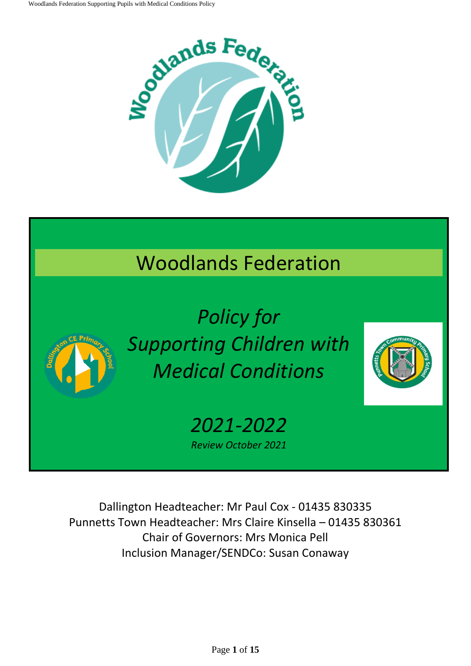

# Woodlands Federation



*Policy for Supporting Children with Medical Conditions* 



*2021-2022 Review October 2021*

Dallington Headteacher: Mr Paul Cox - 01435 830335 Punnetts Town Headteacher: Mrs Claire Kinsella – 01435 830361 Chair of Governors: Mrs Monica Pell Inclusion Manager/SENDCo: Susan Conaway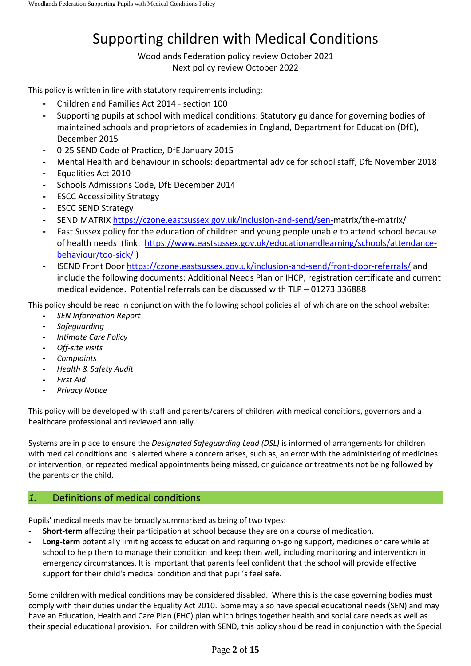# Supporting children with Medical Conditions

Woodlands Federation policy review October 2021 Next policy review October 2022

This policy is written in line with statutory requirements including:

- **-** Children and Families Act 2014 section 100
- **-** Supporting pupils at school with medical conditions: Statutory guidance for governing bodies of maintained schools and proprietors of academies in England, Department for Education (DfE), December 2015
- **-** 0-25 SEND Code of Practice, DfE January 2015
- **-** Mental Health and behaviour in schools: departmental advice for school staff, DfE November 2018
- **-** Equalities Act 2010
- **-** Schools Admissions Code, DfE December 2014
- **-** ESCC Accessibility Strategy
- **-** ESCC SEND Strategy
- **-** SEND MATRI[X https://czone.eastsussex.gov.uk/inclusion-and-send/sen-m](https://czone.eastsussex.gov.uk/inclusion-and-send/sen-)atrix/the-matrix/
- **-** East Sussex policy for the education of children and young people unable to attend school because of health needs (link: [https://www.eastsussex.gov.uk/educationandlearning/schools/attendance](https://www.eastsussex.gov.uk/educationandlearning/schools/attendance-behaviour/too-sick/)[behaviour/too-sick/](https://www.eastsussex.gov.uk/educationandlearning/schools/attendance-behaviour/too-sick/) )
- **-** ISEND Front Door<https://czone.eastsussex.gov.uk/inclusion-and-send/front-door-referrals/> and include the following documents: Additional Needs Plan or IHCP, registration certificate and current medical evidence. Potential referrals can be discussed with TLP – 01273 336888

This policy should be read in conjunction with the following school policies all of which are on the school website:

- **-** *SEN Information Report*
- **-** *Safeguarding*
- **-** *Intimate Care Policy*
- **-** *Off-site visits*
- **-** *Complaints*
- **-** *Health & Safety Audit*
- **-** *First Aid*
- **-** *Privacy Notice*

This policy will be developed with staff and parents/carers of children with medical conditions, governors and a healthcare professional and reviewed annually.

Systems are in place to ensure the *Designated Safeguarding Lead (DSL)* is informed of arrangements for children with medical conditions and is alerted where a concern arises, such as, an error with the administering of medicines or intervention, or repeated medical appointments being missed, or guidance or treatments not being followed by the parents or the child.

# *1.* Definitions of medical conditions

Pupils' medical needs may be broadly summarised as being of two types:

- **- Short-term** affecting their participation at school because they are on a course of medication.
- **- Long-term** potentially limiting access to education and requiring on-going support, medicines or care while at school to help them to manage their condition and keep them well, including monitoring and intervention in emergency circumstances. It is important that parents feel confident that the school will provide effective support for their child's medical condition and that pupil's feel safe.

Some children with medical conditions may be considered disabled. Where this is the case governing bodies **must** comply with their duties under the Equality Act 2010. Some may also have special educational needs (SEN) and may have an Education, Health and Care Plan (EHC) plan which brings together health and social care needs as well as their special educational provision. For children with SEND, this policy should be read in conjunction with the Special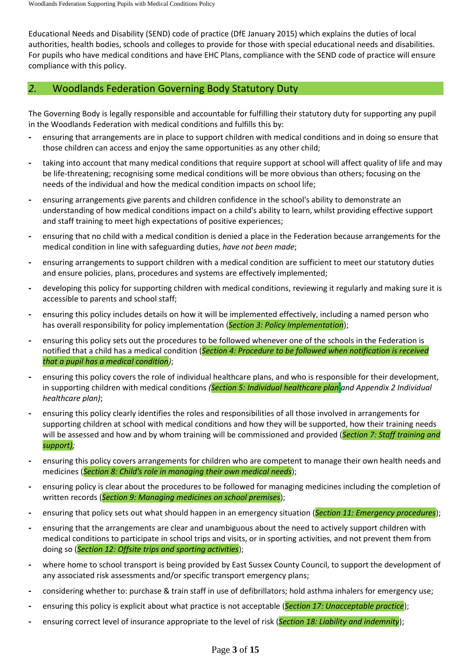Educational Needs and Disability (SEND) code of practice (DfE January 2015) which explains the duties of local authorities, health bodies, schools and colleges to provide for those with special educational needs and disabilities. For pupils who have medical conditions and have EHC Plans, compliance with the SEND code of practice will ensure compliance with this policy.

# *2.* Woodlands Federation Governing Body Statutory Duty

The Governing Body is legally responsible and accountable for fulfilling their statutory duty for supporting any pupil in the Woodlands Federation with medical conditions and fulfills this by:

- **-** ensuring that arrangements are in place to support children with medical conditions and in doing so ensure that those children can access and enjoy the same opportunities as any other child;
- **-** taking into account that many medical conditions that require support at school will affect quality of life and may be life-threatening; recognising some medical conditions will be more obvious than others; focusing on the needs of the individual and how the medical condition impacts on school life;
- **-** ensuring arrangements give parents and children confidence in the school's ability to demonstrate an understanding of how medical conditions impact on a child's ability to learn, whilst providing effective support and staff training to meet high expectations of positive experiences;
- **-** ensuring that no child with a medical condition is denied a place in the Federation because arrangements for the medical condition in line with safeguarding duties, *have not been made*;
- **-** ensuring arrangements to support children with a medical condition are sufficient to meet our statutory duties and ensure policies, plans, procedures and systems are effectively implemented;
- **-** developing this policy for supporting children with medical conditions, reviewing it regularly and making sure it is accessible to parents and school staff;
- **-** ensuring this policy includes details on how it will be implemented effectively, including a named person who has overall responsibility for policy implementation (*Section 3: Policy Implementation*);
- **-** ensuring this policy sets out the procedures to be followed whenever one of the schools in the Federation is notified that a child has a medical condition (*Section 4: Procedure to be followed when notification is received that a pupil has a medical condition)*;
- **-** ensuring this policy covers the role of individual healthcare plans, and who is responsible for their development, in supporting children with medical conditions *(Section 5: Individual healthcare plan and Appendix 2 Individual healthcare plan)*;
- **-** ensuring this policy clearly identifies the roles and responsibilities of all those involved in arrangements for supporting children at school with medical conditions and how they will be supported, how their training needs will be assessed and how and by whom training will be commissioned and provided (*Section 7: Staff training and support);*
- **-** ensuring this policy covers arrangements for children who are competent to manage their own health needs and medicines (*Section 8: Child's role in managing their own medical needs*);
- **-** ensuring policy is clear about the procedures to be followed for managing medicines including the completion of written records (*Section 9: Managing medicines on school premises*);
- **-** ensuring that policy sets out what should happen in an emergency situation (*Section 11: Emergency procedures*);
- **-** ensuring that the arrangements are clear and unambiguous about the need to actively support children with medical conditions to participate in school trips and visits, or in sporting activities, and not prevent them from doing so (*Section 12: Offsite trips and sporting activities*);
- **-** where home to school transport is being provided by East Sussex County Council, to support the development of any associated risk assessments and/or specific transport emergency plans;
- **-** considering whether to: purchase & train staff in use of defibrillators; hold asthma inhalers for emergency use;
- **-** ensuring this policy is explicit about what practice is not acceptable (*Section 17: Unacceptable practice*);
- **-** ensuring correct level of insurance appropriate to the level of risk (*Section 18: Liability and indemnity*);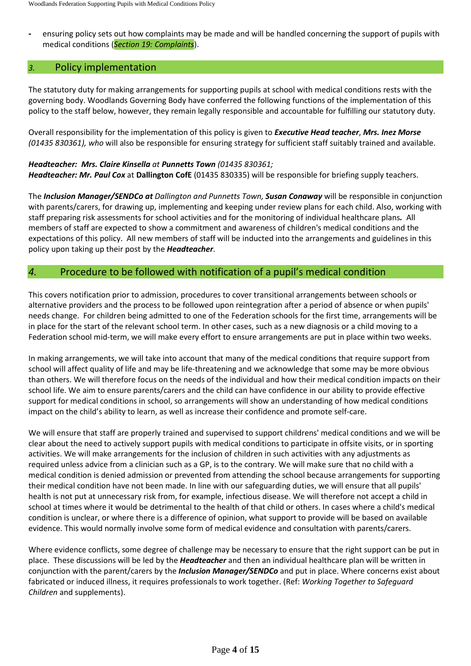**-** ensuring policy sets out how complaints may be made and will be handled concerning the support of pupils with medical conditions (*Section 19: Complaints*).

#### *3.* Policy implementation

The statutory duty for making arrangements for supporting pupils at school with medical conditions rests with the governing body. Woodlands Governing Body have conferred the following functions of the implementation of this policy to the staff below, however, they remain legally responsible and accountable for fulfilling our statutory duty.

Overall responsibility for the implementation of this policy is given to *Executive Head teacher*, *Mrs. Inez Morse (01435 830361), who* will also be responsible for ensuring strategy for sufficient staff suitably trained and available.

#### *Headteacher: Mrs. Claire Kinsella at Punnetts Town (01435 830361; Headteacher: Mr. Paul Cox* at **Dallington CofE** (01435 830335) will be responsible for briefing supply teachers.

The *Inclusion Manager/SENDCo at Dallington and Punnetts Town, Susan Conaway* will be responsible in conjunction with parents/carers, for drawing up, implementing and keeping under review plans for each child. Also, working with staff preparing risk assessments for school activities and for the monitoring of individual healthcare plans*.* All members of staff are expected to show a commitment and awareness of children's medical conditions and the expectations of this policy. All new members of staff will be inducted into the arrangements and guidelines in this policy upon taking up their post by the *Headteacher*.

# *4.* Procedure to be followed with notification of a pupil's medical condition

This covers notification prior to admission, procedures to cover transitional arrangements between schools or alternative providers and the process to be followed upon reintegration after a period of absence or when pupils' needs change. For children being admitted to one of the Federation schools for the first time, arrangements will be in place for the start of the relevant school term. In other cases, such as a new diagnosis or a child moving to a Federation school mid-term, we will make every effort to ensure arrangements are put in place within two weeks.

In making arrangements, we will take into account that many of the medical conditions that require support from school will affect quality of life and may be life-threatening and we acknowledge that some may be more obvious than others. We will therefore focus on the needs of the individual and how their medical condition impacts on their school life. We aim to ensure parents/carers and the child can have confidence in our ability to provide effective support for medical conditions in school, so arrangements will show an understanding of how medical conditions impact on the child's ability to learn, as well as increase their confidence and promote self-care.

We will ensure that staff are properly trained and supervised to support childrens' medical conditions and we will be clear about the need to actively support pupils with medical conditions to participate in offsite visits, or in sporting activities. We will make arrangements for the inclusion of children in such activities with any adjustments as required unless advice from a clinician such as a GP, is to the contrary. We will make sure that no child with a medical condition is denied admission or prevented from attending the school because arrangements for supporting their medical condition have not been made. In line with our safeguarding duties, we will ensure that all pupils' health is not put at unnecessary risk from, for example, infectious disease. We will therefore not accept a child in school at times where it would be detrimental to the health of that child or others. In cases where a child's medical condition is unclear, or where there is a difference of opinion, what support to provide will be based on available evidence. This would normally involve some form of medical evidence and consultation with parents/carers.

Where evidence conflicts, some degree of challenge may be necessary to ensure that the right support can be put in place. These discussions will be led by the *Headteacher* and then an individual healthcare plan will be written in conjunction with the parent/carers by the *Inclusion Manager/SENDCo* and put in place. Where concerns exist about fabricated or induced illness, it requires professionals to work together. (Ref: *Working Together to Safeguard Children* and supplements).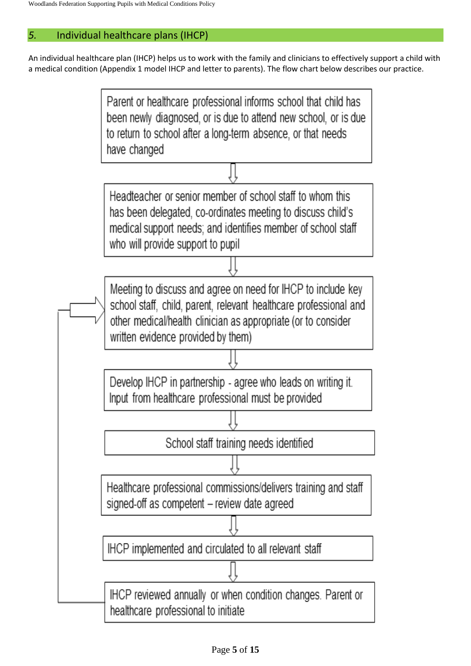# *5.* Individual healthcare plans (IHCP)

An individual healthcare plan (IHCP) helps us to work with the family and clinicians to effectively support a child with a medical condition (Appendix 1 model IHCP and letter to parents). The flow chart below describes our practice.

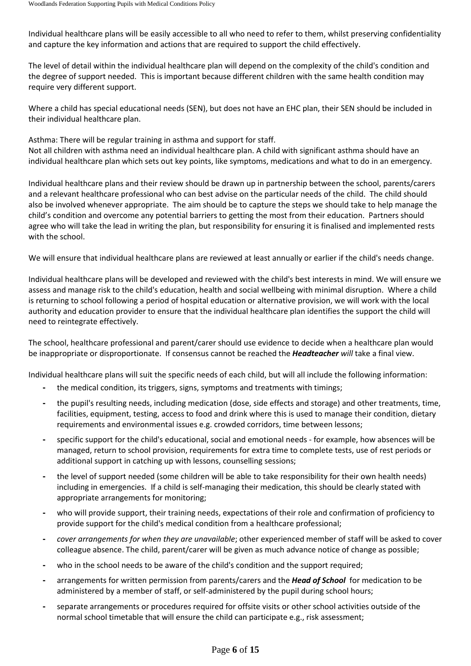Individual healthcare plans will be easily accessible to all who need to refer to them, whilst preserving confidentiality and capture the key information and actions that are required to support the child effectively.

The level of detail within the individual healthcare plan will depend on the complexity of the child's condition and the degree of support needed. This is important because different children with the same health condition may require very different support.

Where a child has special educational needs (SEN), but does not have an EHC plan, their SEN should be included in their individual healthcare plan.

Asthma: There will be regular training in asthma and support for staff. Not all children with asthma need an individual healthcare plan. A child with significant asthma should have an individual healthcare plan which sets out key points, like symptoms, medications and what to do in an emergency.

Individual healthcare plans and their review should be drawn up in partnership between the school, parents/carers and a relevant healthcare professional who can best advise on the particular needs of the child. The child should also be involved whenever appropriate. The aim should be to capture the steps we should take to help manage the child's condition and overcome any potential barriers to getting the most from their education. Partners should agree who will take the lead in writing the plan, but responsibility for ensuring it is finalised and implemented rests with the school.

We will ensure that individual healthcare plans are reviewed at least annually or earlier if the child's needs change.

Individual healthcare plans will be developed and reviewed with the child's best interests in mind. We will ensure we assess and manage risk to the child's education, health and social wellbeing with minimal disruption. Where a child is returning to school following a period of hospital education or alternative provision, we will work with the local authority and education provider to ensure that the individual healthcare plan identifies the support the child will need to reintegrate effectively.

The school, healthcare professional and parent/carer should use evidence to decide when a healthcare plan would be inappropriate or disproportionate. If consensus cannot be reached the *Headteacher will* take a final view.

Individual healthcare plans will suit the specific needs of each child, but will all include the following information:

- **-** the medical condition, its triggers, signs, symptoms and treatments with timings;
- **-** the pupil's resulting needs, including medication (dose, side effects and storage) and other treatments, time, facilities, equipment, testing, access to food and drink where this is used to manage their condition, dietary requirements and environmental issues e.g. crowded corridors, time between lessons;
- **-** specific support for the child's educational, social and emotional needs for example, how absences will be managed, return to school provision, requirements for extra time to complete tests, use of rest periods or additional support in catching up with lessons, counselling sessions;
- **-** the level of support needed (some children will be able to take responsibility for their own health needs) including in emergencies. If a child is self-managing their medication, this should be clearly stated with appropriate arrangements for monitoring;
- **-** who will provide support, their training needs, expectations of their role and confirmation of proficiency to provide support for the child's medical condition from a healthcare professional;
- **-** *cover arrangements for when they are unavailable*; other experienced member of staff will be asked to cover colleague absence. The child, parent/carer will be given as much advance notice of change as possible;
- **-** who in the school needs to be aware of the child's condition and the support required;
- **-** arrangements for written permission from parents/carers and the *Head of School* for medication to be administered by a member of staff, or self-administered by the pupil during school hours;
- **-** separate arrangements or procedures required for offsite visits or other school activities outside of the normal school timetable that will ensure the child can participate e.g., risk assessment;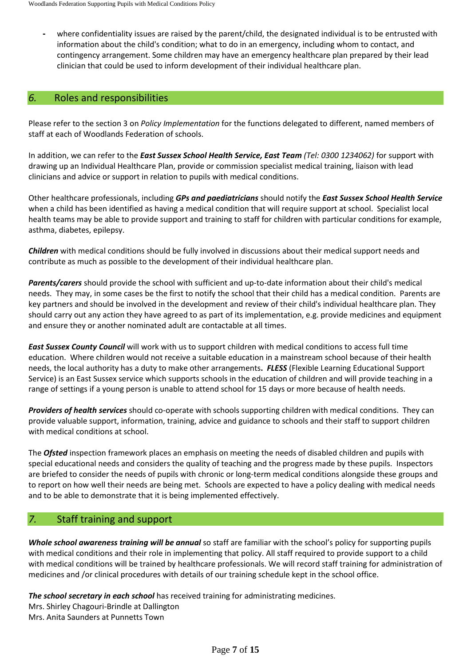**-** where confidentiality issues are raised by the parent/child, the designated individual is to be entrusted with information about the child's condition; what to do in an emergency, including whom to contact, and contingency arrangement. Some children may have an emergency healthcare plan prepared by their lead clinician that could be used to inform development of their individual healthcare plan.

# *6.* Roles and responsibilities

Please refer to the section 3 on *Policy Implementation* for the functions delegated to different, named members of staff at each of Woodlands Federation of schools.

In addition, we can refer to the *East Sussex School Health Service, East Team (Tel: 0300 1234062)* for support with drawing up an Individual Healthcare Plan, provide or commission specialist medical training, liaison with lead clinicians and advice or support in relation to pupils with medical conditions.

Other healthcare professionals, including *GPs and paediatricians* should notify the *East Sussex School Health Service* when a child has been identified as having a medical condition that will require support at school. Specialist local health teams may be able to provide support and training to staff for children with particular conditions for example, asthma, diabetes, epilepsy.

*Children* with medical conditions should be fully involved in discussions about their medical support needs and contribute as much as possible to the development of their individual healthcare plan.

*Parents/carers* should provide the school with sufficient and up-to-date information about their child's medical needs. They may, in some cases be the first to notify the school that their child has a medical condition. Parents are key partners and should be involved in the development and review of their child's individual healthcare plan. They should carry out any action they have agreed to as part of its implementation, e.g. provide medicines and equipment and ensure they or another nominated adult are contactable at all times.

*East Sussex County Council* will work with us to support children with medical conditions to access full time education. Where children would not receive a suitable education in a mainstream school because of their health needs, the local authority has a duty to make other arrangements**.** *FLESS* (Flexible Learning Educational Support Service) is an East Sussex service which supports schools in the education of children and will provide teaching in a range of settings if a young person is unable to attend school for 15 days or more because of health needs.

*Providers of health services* should co-operate with schools supporting children with medical conditions. They can provide valuable support, information, training, advice and guidance to schools and their staff to support children with medical conditions at school.

The *Ofsted* inspection framework places an emphasis on meeting the needs of disabled children and pupils with special educational needs and considers the quality of teaching and the progress made by these pupils. Inspectors are briefed to consider the needs of pupils with chronic or long-term medical conditions alongside these groups and to report on how well their needs are being met. Schools are expected to have a policy dealing with medical needs and to be able to demonstrate that it is being implemented effectively.

# *7.* Staff training and support

*Whole school awareness training will be annual* so staff are familiar with the school's policy for supporting pupils with medical conditions and their role in implementing that policy. All staff required to provide support to a child with medical conditions will be trained by healthcare professionals. We will record staff training for administration of medicines and /or clinical procedures with details of our training schedule kept in the school office.

*The school secretary in each school* has received training for administrating medicines.

Mrs. Shirley Chagouri-Brindle at Dallington Mrs. Anita Saunders at Punnetts Town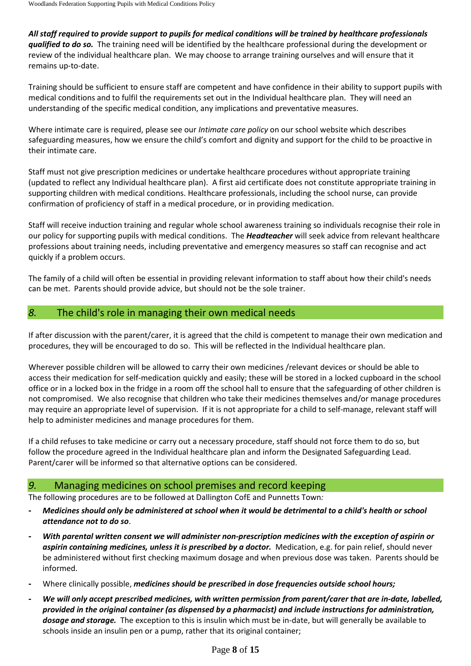All staff required to provide support to pupils for medical conditions will be trained by healthcare professionals *qualified to do so.* The training need will be identified by the healthcare professional during the development or review of the individual healthcare plan. We may choose to arrange training ourselves and will ensure that it remains up-to-date.

Training should be sufficient to ensure staff are competent and have confidence in their ability to support pupils with medical conditions and to fulfil the requirements set out in the Individual healthcare plan. They will need an understanding of the specific medical condition, any implications and preventative measures.

Where intimate care is required, please see our *Intimate care policy* on our school website which describes safeguarding measures, how we ensure the child's comfort and dignity and support for the child to be proactive in their intimate care.

Staff must not give prescription medicines or undertake healthcare procedures without appropriate training (updated to reflect any Individual healthcare plan). A first aid certificate does not constitute appropriate training in supporting children with medical conditions. Healthcare professionals, including the school nurse, can provide confirmation of proficiency of staff in a medical procedure, or in providing medication.

Staff will receive induction training and regular whole school awareness training so individuals recognise their role in our policy for supporting pupils with medical conditions. The *Headteacher* will seek advice from relevant healthcare professions about training needs, including preventative and emergency measures so staff can recognise and act quickly if a problem occurs.

The family of a child will often be essential in providing relevant information to staff about how their child's needs can be met. Parents should provide advice, but should not be the sole trainer.

# *8.* The child's role in managing their own medical needs

If after discussion with the parent/carer, it is agreed that the child is competent to manage their own medication and procedures, they will be encouraged to do so. This will be reflected in the Individual healthcare plan.

Wherever possible children will be allowed to carry their own medicines /relevant devices or should be able to access their medication for self-medication quickly and easily; these will be stored in a locked cupboard in the school office or in a locked box in the fridge in a room off the school hall to ensure that the safeguarding of other children is not compromised. We also recognise that children who take their medicines themselves and/or manage procedures may require an appropriate level of supervision. If it is not appropriate for a child to self-manage, relevant staff will help to administer medicines and manage procedures for them.

If a child refuses to take medicine or carry out a necessary procedure, staff should not force them to do so, but follow the procedure agreed in the Individual healthcare plan and inform the Designated Safeguarding Lead. Parent/carer will be informed so that alternative options can be considered.

# *9.* Managing medicines on school premises and record keeping

The following procedures are to be followed at Dallington CofE and Punnetts Town*:*

- Medicines should only be administered at school when it would be detrimental to a child's health or school *attendance not to do so*.
- **-** *With parental written consent we will administer non-prescription medicines with the exception of aspirin or aspirin containing medicines, unless it is prescribed by a doctor.* Medication, e.g. for pain relief, should never be administered without first checking maximum dosage and when previous dose was taken. Parents should be informed.
- **-** Where clinically possible, *medicines should be prescribed in dose frequencies outside school hours;*
- We will only accept prescribed medicines, with written permission from parent/carer that are in-date, labelled, *provided in the original container (as dispensed by a pharmacist) and include instructions for administration, dosage and storage.* The exception to this is insulin which must be in-date, but will generally be available to schools inside an insulin pen or a pump, rather that its original container;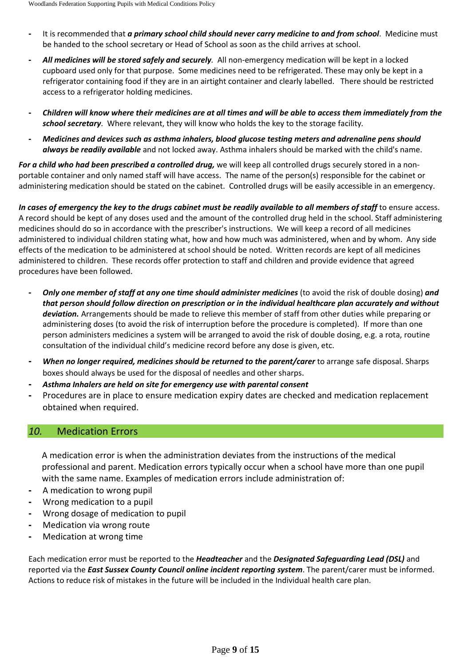- **-** It is recommended that *a primary school child should never carry medicine to and from school*. Medicine must be handed to the school secretary or Head of School as soon as the child arrives at school.
- **-** *All medicines will be stored safely and securely.* All non-emergency medication will be kept in a locked cupboard used only for that purpose. Some medicines need to be refrigerated. These may only be kept in a refrigerator containing food if they are in an airtight container and clearly labelled. There should be restricted access to a refrigerator holding medicines.
- Children will know where their medicines are at all times and will be able to access them immediately from the *school secretary*. Where relevant, they will know who holds the key to the storage facility*.*
- **-** *Medicines and devices such as asthma inhalers, blood glucose testing meters and adrenaline pens should always be readily available* and not locked away. Asthma inhalers should be marked with the child's name.

*For a child who had been prescribed a controlled drug,* we will keep all controlled drugs securely stored in a nonportable container and only named staff will have access. The name of the person(s) responsible for the cabinet or administering medication should be stated on the cabinet. Controlled drugs will be easily accessible in an emergency.

In cases of emergency the key to the drugs cabinet must be readily available to all members of staff to ensure access. A record should be kept of any doses used and the amount of the controlled drug held in the school. Staff administering medicines should do so in accordance with the prescriber's instructions. We will keep a record of all medicines administered to individual children stating what, how and how much was administered, when and by whom. Any side effects of the medication to be administered at school should be noted. Written records are kept of all medicines administered to children. These records offer protection to staff and children and provide evidence that agreed procedures have been followed.

- **-** *Only one member of staff at any one time should administer medicines* (to avoid the risk of double dosing) *and that person should follow direction on prescription or in the individual healthcare plan accurately and without deviation.* Arrangements should be made to relieve this member of staff from other duties while preparing or administering doses (to avoid the risk of interruption before the procedure is completed). If more than one person administers medicines a system will be arranged to avoid the risk of double dosing, e.g. a rota, routine consultation of the individual child's medicine record before any dose is given, etc.
- **-** *When no longer required, medicines should be returned to the parent/carer* to arrange safe disposal. Sharps boxes should always be used for the disposal of needles and other sharps.
- **-** *Asthma Inhalers are held on site for emergency use with parental consent*
- **-** Procedures are in place to ensure medication expiry dates are checked and medication replacement obtained when required.

# *10.* Medication Errors

A medication error is when the administration deviates from the instructions of the medical professional and parent. Medication errors typically occur when a school have more than one pupil with the same name. Examples of medication errors include administration of:

- **-** A medication to wrong pupil
- **-** Wrong medication to a pupil
- **-** Wrong dosage of medication to pupil
- **-** Medication via wrong route
- **-** Medication at wrong time

Each medication error must be reported to the *Headteacher* and the *Designated Safeguarding Lead (DSL)* and reported via the *East Sussex County Council online incident reporting system*. The parent/carer must be informed. Actions to reduce risk of mistakes in the future will be included in the Individual health care plan.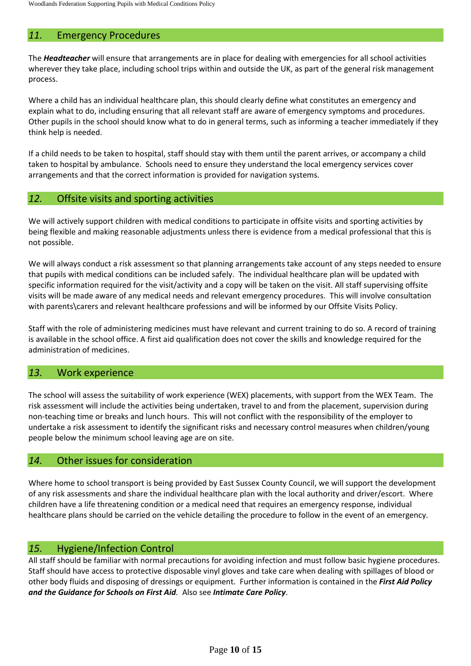# *11.* Emergency Procedures

The *Headteacher* will ensure that arrangements are in place for dealing with emergencies for all school activities wherever they take place, including school trips within and outside the UK, as part of the general risk management process.

Where a child has an individual healthcare plan, this should clearly define what constitutes an emergency and explain what to do, including ensuring that all relevant staff are aware of emergency symptoms and procedures. Other pupils in the school should know what to do in general terms, such as informing a teacher immediately if they think help is needed.

If a child needs to be taken to hospital, staff should stay with them until the parent arrives, or accompany a child taken to hospital by ambulance. Schools need to ensure they understand the local emergency services cover arrangements and that the correct information is provided for navigation systems.

#### *12.* Offsite visits and sporting activities

We will actively support children with medical conditions to participate in offsite visits and sporting activities by being flexible and making reasonable adjustments unless there is evidence from a medical professional that this is not possible.

We will always conduct a risk assessment so that planning arrangements take account of any steps needed to ensure that pupils with medical conditions can be included safely. The individual healthcare plan will be updated with specific information required for the visit/activity and a copy will be taken on the visit. All staff supervising offsite visits will be made aware of any medical needs and relevant emergency procedures. This will involve consultation with parents\carers and relevant healthcare professions and will be informed by our Offsite Visits Policy.

Staff with the role of administering medicines must have relevant and current training to do so. A record of training is available in the school office. A first aid qualification does not cover the skills and knowledge required for the administration of medicines.

# *13.* Work experience

The school will assess the suitability of work experience (WEX) placements, with support from the WEX Team. The risk assessment will include the activities being undertaken, travel to and from the placement, supervision during non-teaching time or breaks and lunch hours. This will not conflict with the responsibility of the employer to undertake a risk assessment to identify the significant risks and necessary control measures when children/young people below the minimum school leaving age are on site.

# *14.* Other issues for consideration

Where home to school transport is being provided by East Sussex County Council, we will support the development of any risk assessments and share the individual healthcare plan with the local authority and driver/escort. Where children have a life threatening condition or a medical need that requires an emergency response, individual healthcare plans should be carried on the vehicle detailing the procedure to follow in the event of an emergency.

# *15.* Hygiene/Infection Control

All staff should be familiar with normal precautions for avoiding infection and must follow basic hygiene procedures. Staff should have access to protective disposable vinyl gloves and take care when dealing with spillages of blood or other body fluids and disposing of dressings or equipment. Further information is contained in the *First Aid Policy and the Guidance for Schools on First Aid.* Also see *Intimate Care Policy*.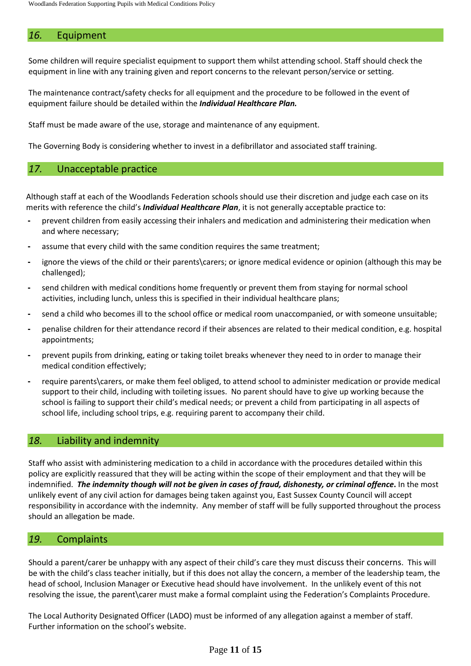# *16.* Equipment

Some children will require specialist equipment to support them whilst attending school. Staff should check the equipment in line with any training given and report concerns to the relevant person/service or setting.

The maintenance contract/safety checks for all equipment and the procedure to be followed in the event of equipment failure should be detailed within the *Individual Healthcare Plan.*

Staff must be made aware of the use, storage and maintenance of any equipment.

The Governing Body is considering whether to invest in a defibrillator and associated staff training.

# *17.* Unacceptable practice

Although staff at each of the Woodlands Federation schools should use their discretion and judge each case on its merits with reference the child's *Individual Healthcare Plan*, it is not generally acceptable practice to:

- **-** prevent children from easily accessing their inhalers and medication and administering their medication when and where necessary;
- **-** assume that every child with the same condition requires the same treatment;
- **-** ignore the views of the child or their parents\carers; or ignore medical evidence or opinion (although this may be challenged);
- **-** send children with medical conditions home frequently or prevent them from staying for normal school activities, including lunch, unless this is specified in their individual healthcare plans;
- **-** send a child who becomes ill to the school office or medical room unaccompanied, or with someone unsuitable;
- **-** penalise children for their attendance record if their absences are related to their medical condition, e.g. hospital appointments;
- **-** prevent pupils from drinking, eating or taking toilet breaks whenever they need to in order to manage their medical condition effectively;
- **-** require parents\carers, or make them feel obliged, to attend school to administer medication or provide medical support to their child, including with toileting issues. No parent should have to give up working because the school is failing to support their child's medical needs; or prevent a child from participating in all aspects of school life, including school trips, e.g. requiring parent to accompany their child.

#### *18.* Liability and indemnity

Staff who assist with administering medication to a child in accordance with the procedures detailed within this policy are explicitly reassured that they will be acting within the scope of their employment and that they will be indemnified. The indemnity though will not be given in cases of fraud, dishonesty, or criminal offence. In the most unlikely event of any civil action for damages being taken against you, East Sussex County Council will accept responsibility in accordance with the indemnity. Any member of staff will be fully supported throughout the process should an allegation be made.

# *19.* Complaints

Should a parent/carer be unhappy with any aspect of their child's care they must discuss their concerns. This will be with the child's class teacher initially, but if this does not allay the concern, a member of the leadership team, the head of school, Inclusion Manager or Executive head should have involvement. In the unlikely event of this not resolving the issue, the parent\carer must make a formal complaint using the Federation's Complaints Procedure.

The Local Authority Designated Officer (LADO) must be informed of any allegation against a member of staff. Further information on the school's website.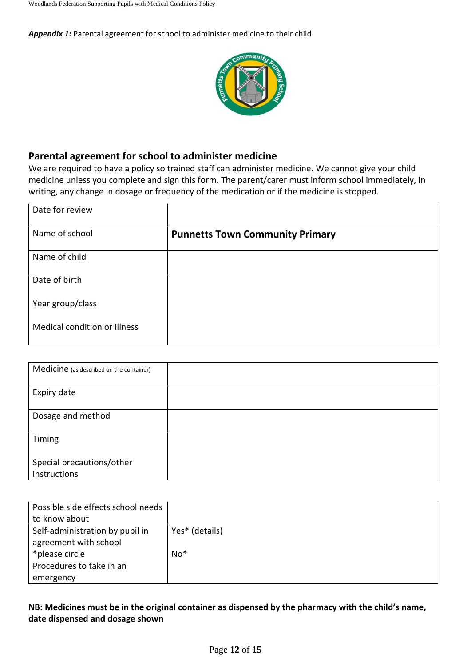*Appendix 1:* Parental agreement for school to administer medicine to their child



# **Parental agreement for school to administer medicine**

We are required to have a policy so trained staff can administer medicine. We cannot give your child medicine unless you complete and sign this form. The parent/carer must inform school immediately, in writing, any change in dosage or frequency of the medication or if the medicine is stopped.

| Date for review              |                                        |
|------------------------------|----------------------------------------|
| Name of school               | <b>Punnetts Town Community Primary</b> |
| Name of child                |                                        |
| Date of birth                |                                        |
| Year group/class             |                                        |
| Medical condition or illness |                                        |
|                              |                                        |

| Medicine (as described on the container)  |  |
|-------------------------------------------|--|
| Expiry date                               |  |
| Dosage and method                         |  |
| Timing                                    |  |
| Special precautions/other<br>instructions |  |

| Possible side effects school needs |                |
|------------------------------------|----------------|
| to know about                      |                |
| Self-administration by pupil in    | Yes* (details) |
| agreement with school              |                |
| *please circle                     | $No*$          |
| Procedures to take in an           |                |
| emergency                          |                |

# **NB: Medicines must be in the original container as dispensed by the pharmacy with the child's name, date dispensed and dosage shown**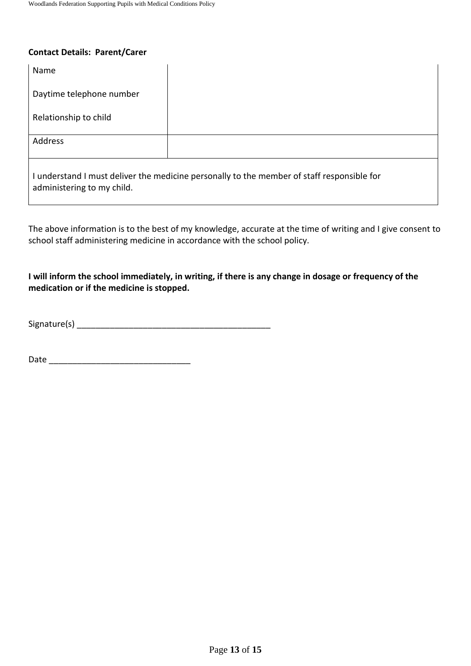#### **Contact Details: Parent/Carer**

| Name                                                                                                                     |  |  |  |  |
|--------------------------------------------------------------------------------------------------------------------------|--|--|--|--|
| Daytime telephone number                                                                                                 |  |  |  |  |
| Relationship to child                                                                                                    |  |  |  |  |
| Address                                                                                                                  |  |  |  |  |
| I understand I must deliver the medicine personally to the member of staff responsible for<br>administering to my child. |  |  |  |  |

The above information is to the best of my knowledge, accurate at the time of writing and I give consent to school staff administering medicine in accordance with the school policy.

# **I will inform the school immediately, in writing, if there is any change in dosage or frequency of the medication or if the medicine is stopped.**

Signature(s) \_\_\_\_\_\_\_\_\_\_\_\_\_\_\_\_\_\_\_\_\_\_\_\_\_\_\_\_\_\_\_\_\_\_\_\_\_\_\_\_\_

Date \_\_\_\_\_\_\_\_\_\_\_\_\_\_\_\_\_\_\_\_\_\_\_\_\_\_\_\_\_\_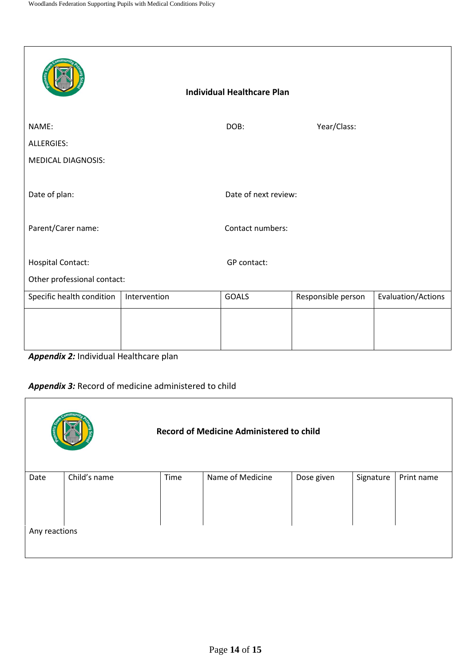|                             |              |  | <b>Individual Healthcare Plan</b> |                    |                    |  |
|-----------------------------|--------------|--|-----------------------------------|--------------------|--------------------|--|
| NAME:                       |              |  | DOB:                              | Year/Class:        |                    |  |
| ALLERGIES:                  |              |  |                                   |                    |                    |  |
| <b>MEDICAL DIAGNOSIS:</b>   |              |  |                                   |                    |                    |  |
| Date of plan:               |              |  | Date of next review:              |                    |                    |  |
| Parent/Carer name:          |              |  | Contact numbers:                  |                    |                    |  |
|                             |              |  |                                   |                    |                    |  |
| <b>Hospital Contact:</b>    |              |  | GP contact:                       |                    |                    |  |
| Other professional contact: |              |  |                                   |                    |                    |  |
| Specific health condition   | Intervention |  | GOALS                             | Responsible person | Evaluation/Actions |  |
|                             |              |  |                                   |                    |                    |  |
|                             |              |  |                                   |                    |                    |  |
|                             |              |  |                                   |                    |                    |  |

*Appendix 2:* Individual Healthcare plan

# *Appendix 3:* Record of medicine administered to child

| <b>Record of Medicine Administered to child</b> |              |      |                  |            |           |            |  |  |
|-------------------------------------------------|--------------|------|------------------|------------|-----------|------------|--|--|
| Date                                            | Child's name | Time | Name of Medicine | Dose given | Signature | Print name |  |  |
|                                                 |              |      |                  |            |           |            |  |  |
|                                                 |              |      |                  |            |           |            |  |  |
|                                                 |              |      |                  |            |           |            |  |  |
| Any reactions                                   |              |      |                  |            |           |            |  |  |
|                                                 |              |      |                  |            |           |            |  |  |
|                                                 |              |      |                  |            |           |            |  |  |